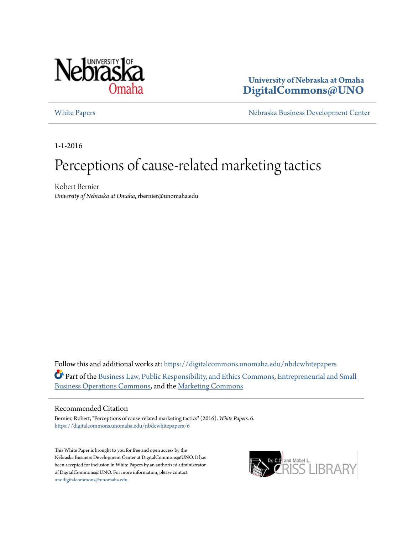

# **University of Nebraska at Omaha [DigitalCommons@UNO](https://digitalcommons.unomaha.edu?utm_source=digitalcommons.unomaha.edu%2Fnbdcwhitepapers%2F6&utm_medium=PDF&utm_campaign=PDFCoverPages)**

[White Papers](https://digitalcommons.unomaha.edu/nbdcwhitepapers?utm_source=digitalcommons.unomaha.edu%2Fnbdcwhitepapers%2F6&utm_medium=PDF&utm_campaign=PDFCoverPages) **[Nebraska Business Development Center](https://digitalcommons.unomaha.edu/nbdc?utm_source=digitalcommons.unomaha.edu%2Fnbdcwhitepapers%2F6&utm_medium=PDF&utm_campaign=PDFCoverPages)** 

1-1-2016

# Perceptions of cause-related marketing tactics

Robert Bernier *University of Nebraska at Omaha*, rbernier@unomaha.edu

Follow this and additional works at: [https://digitalcommons.unomaha.edu/nbdcwhitepapers](https://digitalcommons.unomaha.edu/nbdcwhitepapers?utm_source=digitalcommons.unomaha.edu%2Fnbdcwhitepapers%2F6&utm_medium=PDF&utm_campaign=PDFCoverPages) Part of the [Business Law, Public Responsibility, and Ethics Commons,](http://network.bepress.com/hgg/discipline/628?utm_source=digitalcommons.unomaha.edu%2Fnbdcwhitepapers%2F6&utm_medium=PDF&utm_campaign=PDFCoverPages) [Entrepreneurial and Small](http://network.bepress.com/hgg/discipline/630?utm_source=digitalcommons.unomaha.edu%2Fnbdcwhitepapers%2F6&utm_medium=PDF&utm_campaign=PDFCoverPages) [Business Operations Commons](http://network.bepress.com/hgg/discipline/630?utm_source=digitalcommons.unomaha.edu%2Fnbdcwhitepapers%2F6&utm_medium=PDF&utm_campaign=PDFCoverPages), and the [Marketing Commons](http://network.bepress.com/hgg/discipline/638?utm_source=digitalcommons.unomaha.edu%2Fnbdcwhitepapers%2F6&utm_medium=PDF&utm_campaign=PDFCoverPages)

#### Recommended Citation

Bernier, Robert, "Perceptions of cause-related marketing tactics" (2016). *White Papers*. 6. [https://digitalcommons.unomaha.edu/nbdcwhitepapers/6](https://digitalcommons.unomaha.edu/nbdcwhitepapers/6?utm_source=digitalcommons.unomaha.edu%2Fnbdcwhitepapers%2F6&utm_medium=PDF&utm_campaign=PDFCoverPages)

This White Paper is brought to you for free and open access by the Nebraska Business Development Center at DigitalCommons@UNO. It has been accepted for inclusion in White Papers by an authorized administrator of DigitalCommons@UNO. For more information, please contact [unodigitalcommons@unomaha.edu](mailto:unodigitalcommons@unomaha.edu).

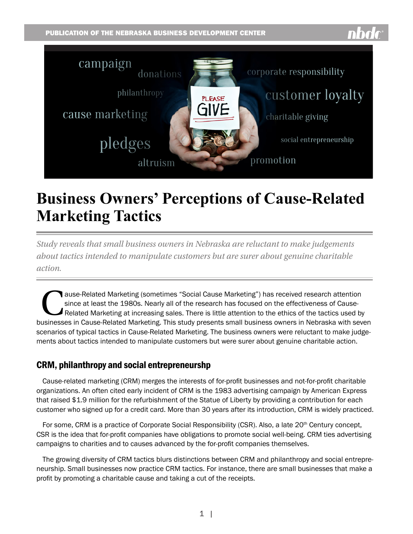

# **Business Owners' Perceptions of Cause-Related Marketing Tactics**

*Study reveals that small business owners in Nebraska are reluctant to make judgements about tactics intended to manipulate customers but are surer about genuine charitable action.*

This example of the research mas focuse on the effectiveness of Cause-<br>Related Marketing at increasing sales. There is little attention to the ethics of the tactics used by<br>Increases in Cause-Belated Marketing. This study since at least the 1980s. Nearly all of the research has focused on the effectiveness of Cause-Related Marketing at increasing sales. There is little attention to the ethics of the tactics used by businesses in Cause-Related Marketing. This study presents small business owners in Nebraska with seven scenarios of typical tactics in Cause-Related Marketing. The business owners were reluctant to make judgements about tactics intended to manipulate customers but were surer about genuine charitable action.

# CRM, philanthropy and social entrepreneurshp

Cause-related marketing (CRM) merges the interests of for-profit businesses and not-for-profit charitable organizations. An often cited early incident of CRM is the 1983 advertising campaign by American Express that raised \$1.9 million for the refurbishment of the Statue of Liberty by providing a contribution for each customer who signed up for a credit card. More than 30 years after its introduction, CRM is widely practiced.

For some, CRM is a practice of Corporate Social Responsibility (CSR). Also, a late 20<sup>th</sup> Century concept, CSR is the idea that for-profit companies have obligations to promote social well-being. CRM ties advertising campaigns to charities and to causes advanced by the for-profit companies themselves.

The growing diversity of CRM tactics blurs distinctions between CRM and philanthropy and social entrepreneurship. Small businesses now practice CRM tactics. For instance, there are small businesses that make a profit by promoting a charitable cause and taking a cut of the receipts.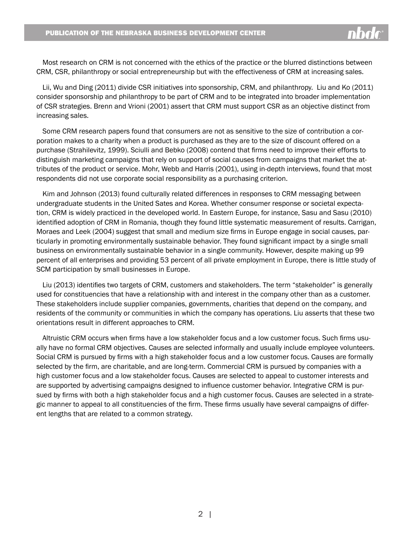Most research on CRM is not concerned with the ethics of the practice or the blurred distinctions between CRM, CSR, philanthropy or social entrepreneurship but with the effectiveness of CRM at increasing sales.

Lii, Wu and Ding (2011) divide CSR initiatives into sponsorship, CRM, and philanthropy. Liu and Ko (2011) consider sponsorship and philanthropy to be part of CRM and to be integrated into broader implementation of CSR strategies. Brenn and Vrioni (2001) assert that CRM must support CSR as an objective distinct from increasing sales.

Some CRM research papers found that consumers are not as sensitive to the size of contribution a corporation makes to a charity when a product is purchased as they are to the size of discount offered on a purchase (Strahilevitz, 1999). Sciulli and Bebko (2008) contend that firms need to improve their efforts to distinguish marketing campaigns that rely on support of social causes from campaigns that market the attributes of the product or service. Mohr, Webb and Harris (2001), using in-depth interviews, found that most respondents did not use corporate social responsibility as a purchasing criterion.

Kim and Johnson (2013) found culturally related differences in responses to CRM messaging between undergraduate students in the United Sates and Korea. Whether consumer response or societal expectation, CRM is widely practiced in the developed world. In Eastern Europe, for instance, Sasu and Sasu (2010) identified adoption of CRM in Romania, though they found little systematic measurement of results. Carrigan, Moraes and Leek (2004) suggest that small and medium size firms in Europe engage in social causes, particularly in promoting environmentally sustainable behavior. They found significant impact by a single small business on environmentally sustainable behavior in a single community. However, despite making up 99 percent of all enterprises and providing 53 percent of all private employment in Europe, there is little study of SCM participation by small businesses in Europe.

Liu (2013) identifies two targets of CRM, customers and stakeholders. The term "stakeholder" is generally used for constituencies that have a relationship with and interest in the company other than as a customer. These stakeholders include supplier companies, governments, charities that depend on the company, and residents of the community or communities in which the company has operations. Liu asserts that these two orientations result in different approaches to CRM.

Altruistic CRM occurs when firms have a low stakeholder focus and a low customer focus. Such firms usually have no formal CRM objectives. Causes are selected informally and usually include employee volunteers. Social CRM is pursued by firms with a high stakeholder focus and a low customer focus. Causes are formally selected by the firm, are charitable, and are long-term. Commercial CRM is pursued by companies with a high customer focus and a low stakeholder focus. Causes are selected to appeal to customer interests and are supported by advertising campaigns designed to influence customer behavior. Integrative CRM is pursued by firms with both a high stakeholder focus and a high customer focus. Causes are selected in a strategic manner to appeal to all constituencies of the firm. These firms usually have several campaigns of different lengths that are related to a common strategy.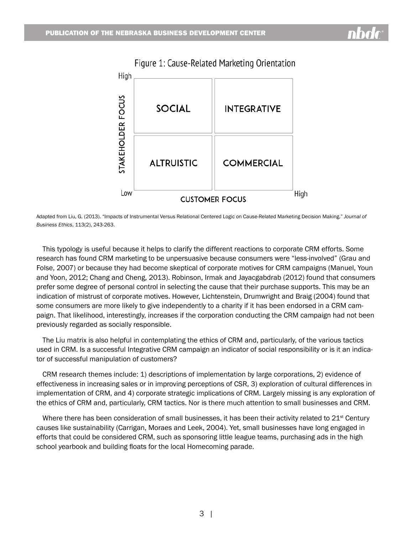

# Figure 1: Cause-Related Marketing Orientation

Adapted from Liu, G. (2013). "Impacts of Instrumental Versus Relational Centered Logic on Cause-Related Marketing Decision Making." *Journal of Business Ethics*, 113(2), 243-263.

This typology is useful because it helps to clarify the different reactions to corporate CRM efforts. Some research has found CRM marketing to be unpersuasive because consumers were "less-involved" (Grau and Folse, 2007) or because they had become skeptical of corporate motives for CRM campaigns (Manuel, Youn and Yoon, 2012; Chang and Cheng, 2013). Robinson, Irmak and Jayacgabdrab (2012) found that consumers prefer some degree of personal control in selecting the cause that their purchase supports. This may be an indication of mistrust of corporate motives. However, Lichtenstein, Drumwright and Braig (2004) found that some consumers are more likely to give independently to a charity if it has been endorsed in a CRM campaign. That likelihood, interestingly, increases if the corporation conducting the CRM campaign had not been previously regarded as socially responsible.

The Liu matrix is also helpful in contemplating the ethics of CRM and, particularly, of the various tactics used in CRM. Is a successful Integrative CRM campaign an indicator of social responsibility or is it an indicator of successful manipulation of customers?

CRM research themes include: 1) descriptions of implementation by large corporations, 2) evidence of effectiveness in increasing sales or in improving perceptions of CSR, 3) exploration of cultural differences in implementation of CRM, and 4) corporate strategic implications of CRM. Largely missing is any exploration of the ethics of CRM and, particularly, CRM tactics. Nor is there much attention to small businesses and CRM.

Where there has been consideration of small businesses, it has been their activity related to  $21<sup>st</sup>$  Century causes like sustainability (Carrigan, Moraes and Leek, 2004). Yet, small businesses have long engaged in efforts that could be considered CRM, such as sponsoring little league teams, purchasing ads in the high school yearbook and building floats for the local Homecoming parade.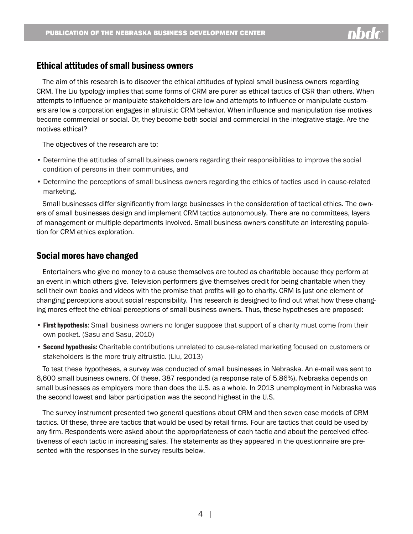

# Ethical attitudes of small business owners

The aim of this research is to discover the ethical attitudes of typical small business owners regarding CRM. The Liu typology implies that some forms of CRM are purer as ethical tactics of CSR than others. When attempts to influence or manipulate stakeholders are low and attempts to influence or manipulate customers are low a corporation engages in altruistic CRM behavior. When influence and manipulation rise motives become commercial or social. Or, they become both social and commercial in the integrative stage. Are the motives ethical?

The objectives of the research are to:

- Determine the attitudes of small business owners regarding their responsibilities to improve the social condition of persons in their communities, and
- Determine the perceptions of small business owners regarding the ethics of tactics used in cause-related marketing.

Small businesses differ significantly from large businesses in the consideration of tactical ethics. The owners of small businesses design and implement CRM tactics autonomously. There are no committees, layers of management or multiple departments involved. Small business owners constitute an interesting population for CRM ethics exploration.

# Social mores have changed

Entertainers who give no money to a cause themselves are touted as charitable because they perform at an event in which others give. Television performers give themselves credit for being charitable when they sell their own books and videos with the promise that profits will go to charity. CRM is just one element of changing perceptions about social responsibility. This research is designed to find out what how these changing mores effect the ethical perceptions of small business owners. Thus, these hypotheses are proposed:

- First hypothesis: Small business owners no longer suppose that support of a charity must come from their own pocket. (Sasu and Sasu, 2010)
- Second hypothesis: Charitable contributions unrelated to cause-related marketing focused on customers or stakeholders is the more truly altruistic. (Liu, 2013)

To test these hypotheses, a survey was conducted of small businesses in Nebraska. An e-mail was sent to 6,600 small business owners. Of these, 387 responded (a response rate of 5.86%). Nebraska depends on small businesses as employers more than does the U.S. as a whole. In 2013 unemployment in Nebraska was the second lowest and labor participation was the second highest in the U.S.

The survey instrument presented two general questions about CRM and then seven case models of CRM tactics. Of these, three are tactics that would be used by retail firms. Four are tactics that could be used by any firm. Respondents were asked about the appropriateness of each tactic and about the perceived effectiveness of each tactic in increasing sales. The statements as they appeared in the questionnaire are presented with the responses in the survey results below.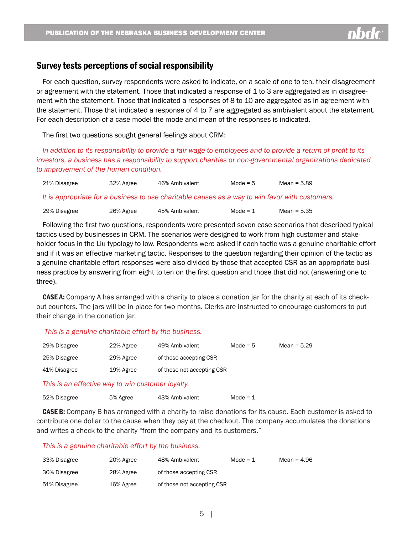

# Survey tests perceptions of social responsibility

For each question, survey respondents were asked to indicate, on a scale of one to ten, their disagreement or agreement with the statement. Those that indicated a response of 1 to 3 are aggregated as in disagreement with the statement. Those that indicated a responses of 8 to 10 are aggregated as in agreement with the statement. Those that indicated a response of 4 to 7 are aggregated as ambivalent about the statement. For each description of a case model the mode and mean of the responses is indicated.

The first two questions sought general feelings about CRM:

*In addition to its responsibility to provide a fair wage to employees and to provide a return of profit to its investors, a business has a responsibility to support charities or non-governmental organizations dedicated to improvement of the human condition.*

| 21% Disagree | 32% Agree | 46% Ambivalent                                                                                  | Mode = $5$ | Mean = $5.89$ |
|--------------|-----------|-------------------------------------------------------------------------------------------------|------------|---------------|
|              |           | It is appropriate for a business to use charitable causes as a way to win favor with customers. |            |               |
| 29% Disagree | 26% Agree | 45% Ambivalent                                                                                  | Mode = $1$ | Mean = $5.35$ |

Following the first two questions, respondents were presented seven case scenarios that described typical tactics used by businesses in CRM. The scenarios were designed to work from high customer and stakeholder focus in the Liu typology to low. Respondents were asked if each tactic was a genuine charitable effort and if it was an effective marketing tactic. Responses to the question regarding their opinion of the tactic as a genuine charitable effort responses were also divided by those that accepted CSR as an appropriate business practice by answering from eight to ten on the first question and those that did not (answering one to three).

CASE A: Company A has arranged with a charity to place a donation jar for the charity at each of its checkout counters. The jars will be in place for two months. Clerks are instructed to encourage customers to put their change in the donation jar.

### *This is a genuine charitable effort by the business.*

| 29% Disagree | 22% Agree | 49% Ambivalent             | Mode = $5$ | Mean = $5.29$ |
|--------------|-----------|----------------------------|------------|---------------|
| 25% Disagree | 29% Agree | of those accepting CSR     |            |               |
| 41% Disagree | 19% Agree | of those not accepting CSR |            |               |

*This is an effective way to win customer loyalty.*

| 52% Disagree | 5% Agree | 43% Ambivalent | Mode = $1$ |
|--------------|----------|----------------|------------|
|--------------|----------|----------------|------------|

**CASE B:** Company B has arranged with a charity to raise donations for its cause. Each customer is asked to contribute one dollar to the cause when they pay at the checkout. The company accumulates the donations and writes a check to the charity "from the company and its customers."

#### *This is a genuine charitable effort by the business.*

| 33% Disagree | 20% Agree | 48% Ambivalent             | Mode = $1$ | Mean = $4.96$ |
|--------------|-----------|----------------------------|------------|---------------|
| 30% Disagree | 28% Agree | of those accepting CSR     |            |               |
| 51% Disagree | 16% Agree | of those not accepting CSR |            |               |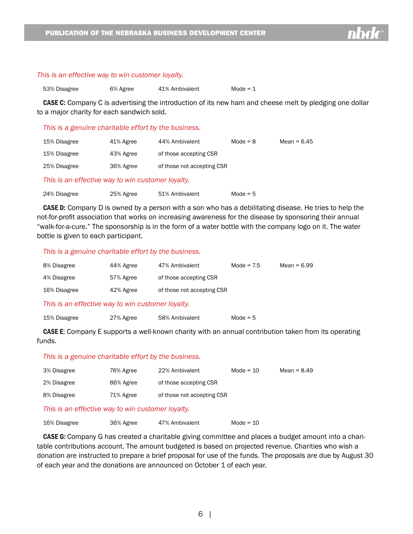#### *This is an effective way to win customer loyalty.*

| 53% Disagree | 6% Agree | 41% Ambivalent | Mode = $1$ |
|--------------|----------|----------------|------------|
|              |          |                |            |

**CASE C:** Company C is advertising the introduction of its new ham and cheese melt by pledging one dollar to a major charity for each sandwich sold.

#### *This is a genuine charitable effort by the business.*

| 15% Disagree | 41% Agree | 44% Ambivalent             | Mode = $8$ | Mean = $6.45$ |
|--------------|-----------|----------------------------|------------|---------------|
| 15% Disagree | 43% Agree | of those accepting CSR     |            |               |
| 25% Disagree | 36% Agree | of those not accepting CSR |            |               |

#### *This is an effective way to win customer loyalty.*

| 24% Disagree | 25% Agree | 51% Ambivalent | Mode = $5$ |
|--------------|-----------|----------------|------------|
|              |           |                |            |

CASE D: Company D is owned by a person with a son who has a debilitating disease. He tries to help the not-for-profit association that works on increasing awareness for the disease by sponsoring their annual "walk-for-a-cure." The sponsorship is in the form of a water bottle with the company logo on it. The water bottle is given to each participant.

#### *This is a genuine charitable effort by the business.*

| 8% Disagree  | 44% Agree | 47% Ambivalent             | Mode = $7.5$ | Mean = 6.99 |
|--------------|-----------|----------------------------|--------------|-------------|
| 4% Disagree  | 57% Agree | of those accepting CSR     |              |             |
| 16% Disagree | 42% Agree | of those not accepting CSR |              |             |

*This is an effective way to win customer loyalty.*

| 15% Disagree | 27% Agree | 58% Ambivalent | Mode $= 5$ |
|--------------|-----------|----------------|------------|
|              |           |                |            |

CASE E: Company E supports a well-known charity with an annual contribution taken from its operating funds.

#### *This is a genuine charitable effort by the business.*

| 3% Disagree | 76% Agree | 22% Ambivalent             | Mode = $10$ | Mean = $8.49$ |
|-------------|-----------|----------------------------|-------------|---------------|
| 2% Disagree | 86% Agree | of those accepting CSR     |             |               |
| 8% Disagree | 71% Agree | of those not accepting CSR |             |               |

#### *This is an effective way to win customer loyalty.*

| 16% Disagree | 36% Agree | 47% Ambivalent | Mode = $10$ |
|--------------|-----------|----------------|-------------|
|              |           |                |             |

CASE G: Company G has created a charitable giving committee and places a budget amount into a charitable contributions account. The amount budgeted is based on projected revenue. Charities who wish a donation are instructed to prepare a brief proposal for use of the funds. The proposals are due by August 30 of each year and the donations are announced on October 1 of each year.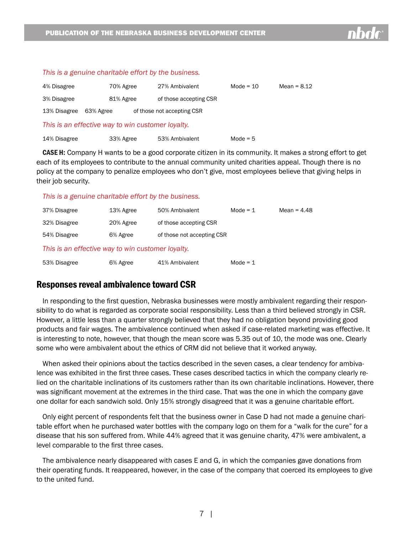|              | This is a genuine charitable effort by the business. |                            |             |               |
|--------------|------------------------------------------------------|----------------------------|-------------|---------------|
| 4% Disagree  | 70% Agree                                            | 27% Ambivalent             | Mode = $10$ | Mean = $8.12$ |
| 3% Disagree  | 81% Agree                                            | of those accepting CSR     |             |               |
| 13% Disagree | 63% Agree                                            | of those not accepting CSR |             |               |
|              | This is an effective way to win customer loyalty.    |                            |             |               |
| 14% Disagree | 33% Agree                                            | 53% Ambivalent             | Mode = $5$  |               |

**CASE H:** Company H wants to be a good corporate citizen in its community. It makes a strong effort to get each of its employees to contribute to the annual community united charities appeal. Though there is no policy at the company to penalize employees who don't give, most employees believe that giving helps in their job security.

*This is a genuine charitable effort by the business.*

| 37% Disagree                                      | 13% Agree | 50% Ambivalent             | Mode = $1$ | Mean = $4.48$ |
|---------------------------------------------------|-----------|----------------------------|------------|---------------|
| 32% Disagree                                      | 20% Agree | of those accepting CSR     |            |               |
| 54% Disagree                                      | 6% Agree  | of those not accepting CSR |            |               |
| This is an effective way to win customer loyalty. |           |                            |            |               |
| 53% Disagree                                      | 6% Agree  | 41% Ambivalent             | Mode = $1$ |               |

# Responses reveal ambivalence toward CSR

In responding to the first question, Nebraska businesses were mostly ambivalent regarding their responsibility to do what is regarded as corporate social responsibility. Less than a third believed strongly in CSR. However, a little less than a quarter strongly believed that they had no obligation beyond providing good products and fair wages. The ambivalence continued when asked if case-related marketing was effective. It is interesting to note, however, that though the mean score was 5.35 out of 10, the mode was one. Clearly some who were ambivalent about the ethics of CRM did not believe that it worked anyway.

When asked their opinions about the tactics described in the seven cases, a clear tendency for ambivalence was exhibited in the first three cases. These cases described tactics in which the company clearly relied on the charitable inclinations of its customers rather than its own charitable inclinations. However, there was significant movement at the extremes in the third case. That was the one in which the company gave one dollar for each sandwich sold. Only 15% strongly disagreed that it was a genuine charitable effort.

Only eight percent of respondents felt that the business owner in Case D had not made a genuine charitable effort when he purchased water bottles with the company logo on them for a "walk for the cure" for a disease that his son suffered from. While 44% agreed that it was genuine charity, 47% were ambivalent, a level comparable to the first three cases.

The ambivalence nearly disappeared with cases E and G, in which the companies gave donations from their operating funds. It reappeared, however, in the case of the company that coerced its employees to give to the united fund.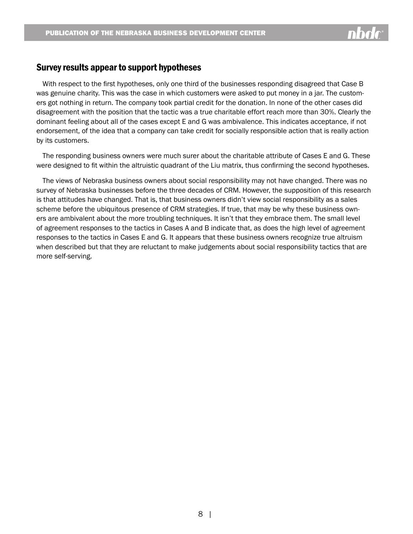

# Survey results appear to support hypotheses

With respect to the first hypotheses, only one third of the businesses responding disagreed that Case B was genuine charity. This was the case in which customers were asked to put money in a jar. The customers got nothing in return. The company took partial credit for the donation. In none of the other cases did disagreement with the position that the tactic was a true charitable effort reach more than 30%. Clearly the dominant feeling about all of the cases except E and G was ambivalence. This indicates acceptance, if not endorsement, of the idea that a company can take credit for socially responsible action that is really action by its customers.

The responding business owners were much surer about the charitable attribute of Cases E and G. These were designed to fit within the altruistic quadrant of the Liu matrix, thus confirming the second hypotheses.

The views of Nebraska business owners about social responsibility may not have changed. There was no survey of Nebraska businesses before the three decades of CRM. However, the supposition of this research is that attitudes have changed. That is, that business owners didn't view social responsibility as a sales scheme before the ubiquitous presence of CRM strategies. If true, that may be why these business owners are ambivalent about the more troubling techniques. It isn't that they embrace them. The small level of agreement responses to the tactics in Cases A and B indicate that, as does the high level of agreement responses to the tactics in Cases E and G. It appears that these business owners recognize true altruism when described but that they are reluctant to make judgements about social responsibility tactics that are more self-serving.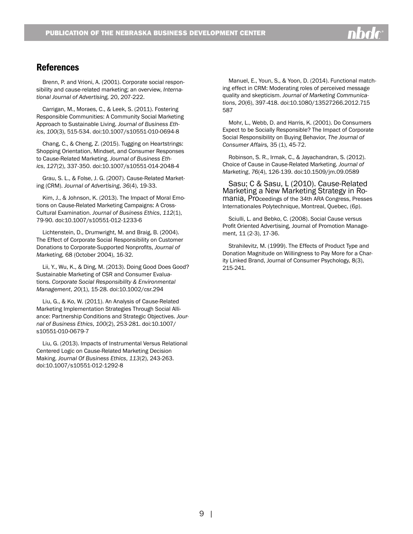# **References**

Brenn, P. and Vrioni, A. (2001). Corporate social responsibility and cause-related marketing; an overview, *International Journal of Advertising,* 20, 207-222.

Carrigan, M., Moraes, C., & Leek, S. (2011). Fostering Responsible Communities: A Community Social Marketing Approach to Sustainable Living. *Journal of Business Ethics*, *100*(3), 515-534. doi:10.1007/s10551-010-0694-8

Chang, C., & Cheng, Z. (2015). Tugging on Heartstrings: Shopping Orientation, Mindset, and Consumer Responses to Cause-Related Marketing. *Journal of Business Ethics*, *127*(2), 337-350. doi:10.1007/s10551-014-2048-4

Grau, S. L., & Folse, J. G. (2007). Cause-Related Marketing (CRM). *Journal of Advertising*, *36*(4), 19-33.

Kim, J., & Johnson, K. (2013). The Impact of Moral Emotions on Cause-Related Marketing Campaigns: A Cross-Cultural Examination. *Journal of Business Ethics*, *112*(1), 79-90. doi:10.1007/s10551-012-1233-6

Lichtenstein, D., Drumwright, M. and Braig, B. (2004). The Effect of Corporate Social Responsibility on Customer Donations to Corporate-Supported Nonprofits, *Journal of Marketing,* 68 (October 2004), 16-32.

Lii, Y., Wu, K., & Ding, M. (2013). Doing Good Does Good? Sustainable Marketing of CSR and Consumer Evaluations. *Corporate Social Responsibility & Environmental Management*, *20*(1), 15-28. doi:10.1002/csr.294

Liu, G., & Ko, W. (2011). An Analysis of Cause-Related Marketing Implementation Strategies Through Social Alliance: Partnership Conditions and Strategic Objectives. *Journal of Business Ethics*, *100*(2), 253-281. doi:10.1007/ s10551-010-0679-7

Liu, G. (2013). Impacts of Instrumental Versus Relational Centered Logic on Cause-Related Marketing Decision Making. *Journal Of Business Ethics*, *113*(2), 243-263. doi:10.1007/s10551-012-1292-8

Manuel, E., Youn, S., & Yoon, D. (2014). Functional matching effect in CRM: Moderating roles of perceived message quality and skepticism. *Journal of Marketing Communications*, *20*(6), 397-418. doi:10.1080/13527266.2012.715 587

Mohr, L., Webb, D. and Harris, K. (2001). Do Consumers Expect to be Socially Responsible? The Impact of Corporate Social Responsibility on Buying Behavior, *The Journal of Consumer Affairs,* 35 (1), 45-72.

Robinson, S. R., Irmak, C., & Jayachandran, S. (2012). Choice of Cause in Cause-Related Marketing. *Journal of Marketing*, *76*(4), 126-139. doi:10.1509/jm.09.0589

Sasu; C & Sasu, L (2010). Cause-Related Marketing a New Marketing Strategy in Ro- mania, Proceedings of the 34th ARA Congress, Presses Internationales Polytechnique, Montreal, Quebec, (6p).

Sciulli, L. and Bebko, C. (2008). Social Cause versus Profit Oriented Advertising, Journal of Promotion Management, 11 (2-3), 17-36.

Strahilevitz, M. (1999). The Effects of Product Type and Donation Magnitude on Willingness to Pay More for a Charity Linked Brand, Journal of Consumer Psychology, 8(3), 215-241.